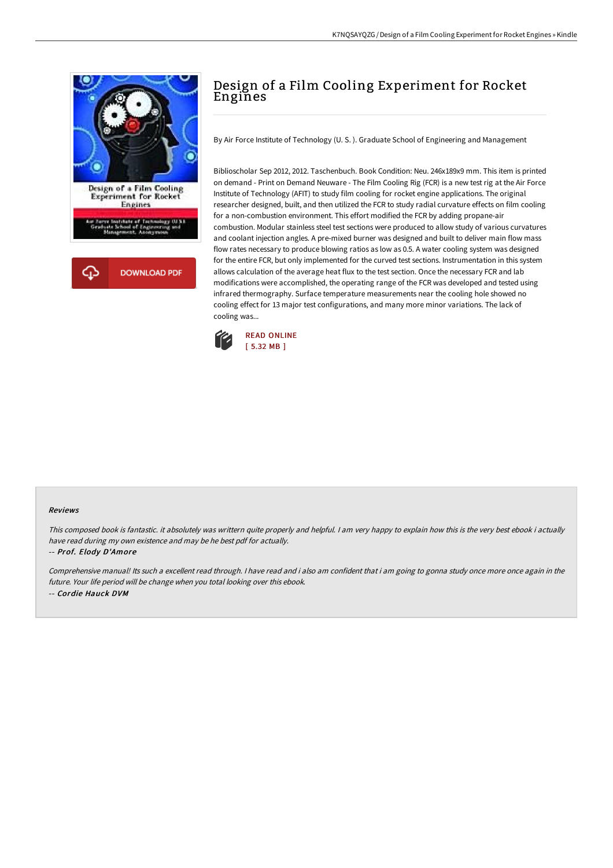

# Design of a Film Cooling Experiment for Rocket Engines

By Air Force Institute of Technology (U. S. ). Graduate School of Engineering and Management

Biblioscholar Sep 2012, 2012. Taschenbuch. Book Condition: Neu. 246x189x9 mm. This item is printed on demand - Print on Demand Neuware - The Film Cooling Rig (FCR) is a new test rig at the Air Force Institute of Technology (AFIT) to study film cooling for rocket engine applications. The original researcher designed, built, and then utilized the FCR to study radial curvature effects on film cooling for a non-combustion environment. This effort modified the FCR by adding propane-air combustion. Modular stainless steel test sections were produced to allow study of various curvatures and coolant injection angles. A pre-mixed burner was designed and built to deliver main flow mass flow rates necessary to produce blowing ratios as low as 0.5. A water cooling system was designed for the entire FCR, but only implemented for the curved test sections. Instrumentation in this system allows calculation of the average heat flux to the test section. Once the necessary FCR and lab modifications were accomplished, the operating range of the FCR was developed and tested using infrared thermography. Surface temperature measurements near the cooling hole showed no cooling effect for 13 major test configurations, and many more minor variations. The lack of cooling was...



#### Reviews

This composed book is fantastic. it absolutely was writtern quite properly and helpful. I am very happy to explain how this is the very best ebook i actually have read during my own existence and may be he best pdf for actually.

#### -- Prof. Elody D'Amore

Comprehensive manual! Its such <sup>a</sup> excellent read through. <sup>I</sup> have read and i also am confident that i am going to gonna study once more once again in the future. Your life period will be change when you total looking over this ebook. -- Cordie Hauck DVM